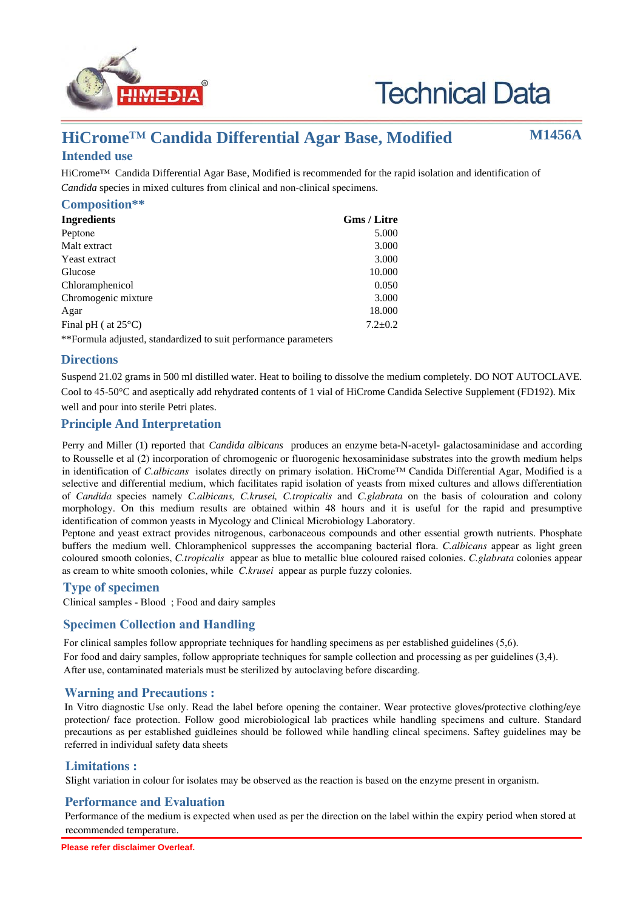

# **Technical Data**

## **HiCrome™ Candida Differential Agar Base, Modified Intended use**

**M1456A**

## HiCrome™ Candida Differential Agar Base, Modified is recommended for the rapid isolation and identification of *Candida* species in mixed cultures from clinical and non-clinical specimens.

| Composition**                 |               |  |  |  |
|-------------------------------|---------------|--|--|--|
| <b>Ingredients</b>            | Gms / Litre   |  |  |  |
| Peptone                       | 5.000         |  |  |  |
| Malt extract                  | 3.000         |  |  |  |
| Yeast extract                 | 3.000         |  |  |  |
| Glucose                       | 10.000        |  |  |  |
| Chloramphenicol               | 0.050         |  |  |  |
| Chromogenic mixture           | 3.000         |  |  |  |
| Agar                          | 18.000        |  |  |  |
| Final pH ( $at 25^{\circ}$ C) | $7.2 \pm 0.2$ |  |  |  |

\*\*Formula adjusted, standardized to suit performance parameters

#### **Directions**

Suspend 21.02 grams in 500 ml distilled water. Heat to boiling to dissolve the medium completely. DO NOT AUTOCLAVE. Cool to 45-50°C and aseptically add rehydrated contents of 1 vial of HiCrome Candida Selective Supplement (FD192). Mix well and pour into sterile Petri plates.

## **Principle And Interpretation**

Perry and Miller (1) reported that *Candida albicans* produces an enzyme beta-N-acetyl- galactosaminidase and according to Rousselle et al (2) incorporation of chromogenic or fluorogenic hexosaminidase substrates into the growth medium helps in identification of *C.albicans* isolates directly on primary isolation. HiCrome™ Candida Differential Agar, Modified is a selective and differential medium, which facilitates rapid isolation of yeasts from mixed cultures and allows differentiation of *Candida* species namely *C.albicans, C.krusei, C.tropicalis* and *C.glabrata* on the basis of colouration and colony morphology. On this medium results are obtained within 48 hours and it is useful for the rapid and presumptive identification of common yeasts in Mycology and Clinical Microbiology Laboratory.

Peptone and yeast extract provides nitrogenous, carbonaceous compounds and other essential growth nutrients. Phosphate buffers the medium well. Chloramphenicol suppresses the accompaning bacterial flora. *C.albicans* appear as light green coloured smooth colonies, *C.tropicalis* appear as blue to metallic blue coloured raised colonies. *C.glabrata* colonies appear as cream to white smooth colonies, while *C.krusei* appear as purple fuzzy colonies.

#### **Type of specimen**

Clinical samples - Blood ; Food and dairy samples

## **Specimen Collection and Handling:**

For clinical samples follow appropriate techniques for handling specimens as per established guidelines (5,6). For food and dairy samples, follow appropriate techniques for sample collection and processing as per guidelines (3,4). After use, contaminated materials must be sterilized by autoclaving before discarding.

#### **Warning and Precautions :**

In Vitro diagnostic Use only. Read the label before opening the container. Wear protective gloves/protective clothing/eye protection/ face protection. Follow good microbiological lab practices while handling specimens and culture. Standard precautions as per established guidleines should be followed while handling clincal specimens. Saftey guidelines may be referred in individual safety data sheets

#### **Limitations :**

Slight variation in colour for isolates may be observed as the reaction is based on the enzyme present in organism.

## **Performance and Evaluation**

Performance of the medium is expected when used as per the direction on the label within the expiry period when stored at recommended temperature.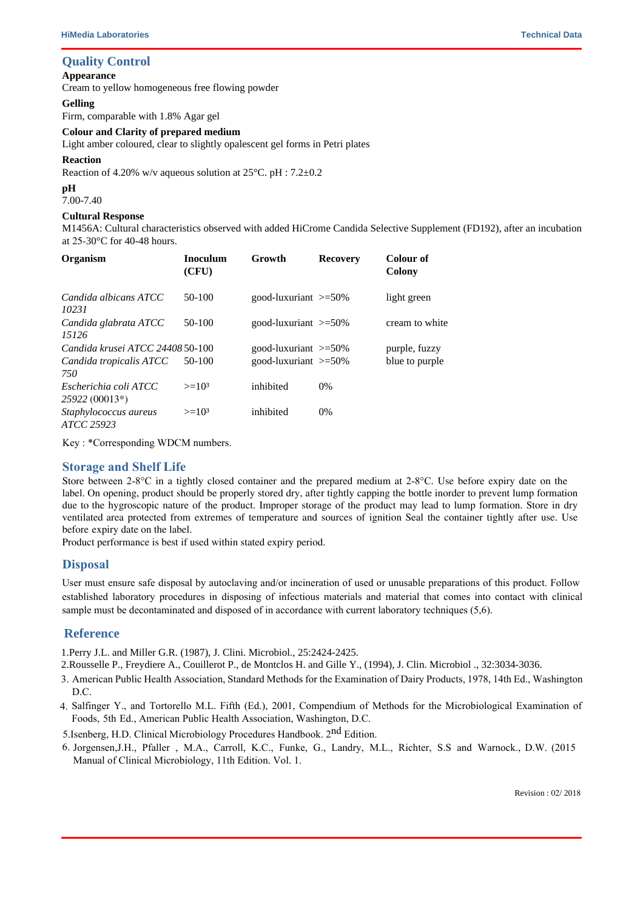#### **Quality Control**

#### **Appearance**

Cream to yellow homogeneous free flowing powder

#### **Gelling**

Firm, comparable with 1.8% Agar gel

#### **Colour and Clarity of prepared medium**

Light amber coloured, clear to slightly opalescent gel forms in Petri plates

#### **Reaction**

Reaction of 4.20% w/v aqueous solution at  $25^{\circ}$ C. pH :  $7.2 \pm 0.2$ 

## **pH**

7.00-7.40

#### **Cultural Response**

M1456A: Cultural characteristics observed with added HiCrome Candida Selective Supplement (FD192), after an incubation at 25-30°C for 40-48 hours.

| Organism                                | <b>Inoculum</b><br>(CFU) | Growth                     | <b>Recovery</b> | Colour of<br>Colony |
|-----------------------------------------|--------------------------|----------------------------|-----------------|---------------------|
| Candida albicans ATCC<br>10231          | $50-100$                 | good-luxuriant $\geq 50\%$ |                 | light green         |
| Candida glabrata ATCC<br>15126          | 50-100                   | good-luxuriant $\geq 50\%$ |                 | cream to white      |
| Candida krusei ATCC 24408 50-100        |                          | good-luxuriant $\geq 50\%$ |                 | purple, fuzzy       |
| Candida tropicalis ATCC<br>750          | 50-100                   | good-luxuriant $\geq 50\%$ |                 | blue to purple      |
| Escherichia coli ATCC<br>25922 (00013*) | $>=103$                  | inhibited                  | $0\%$           |                     |
| Staphylococcus aureus<br>ATCC 25923     | $>=103$                  | inhibited                  | 0%              |                     |

Key : \*Corresponding WDCM numbers.

#### **Storage and Shelf Life**

Store between 2-8°C in a tightly closed container and the prepared medium at 2-8°C. Use before expiry date on the label. On opening, product should be properly stored dry, after tightly capping the bottle inorder to prevent lump formation due to the hygroscopic nature of the product. Improper storage of the product may lead to lump formation. Store in dry ventilated area protected from extremes of temperature and sources of ignition Seal the container tightly after use. Use before expiry date on the label.

Product performance is best if used within stated expiry period.

## **Disposal**

User must ensure safe disposal by autoclaving and/or incineration of used or unusable preparations of this product. Follow established laboratory procedures in disposing of infectious materials and material that comes into contact with clinical sample must be decontaminated and disposed of in accordance with current laboratory techniques (5,6).

## **Reference**

1.Perry J.L. and Miller G.R. (1987), J. Clini. Microbiol., 25:2424-2425.

2.Rousselle P., Freydiere A., Couillerot P., de Montclos H. and Gille Y., (1994), J. Clin. Microbiol ., 32:3034-3036.

3. American Public Health Association, Standard Methods for the Examination of Dairy Products, 1978, 14th Ed., Washington D.C.

- 4. Salfinger Y., and Tortorello M.L. Fifth (Ed.), 2001, Compendium of Methods for the Microbiological Examination of Foods, 5th Ed., American Public Health Association, Washington, D.C.
- 5. Isenberg, H.D. Clinical Microbiology Procedures Handbook. 2<sup>nd</sup> Edition.
- 6. Jorgensen,J.H., Pfaller , M.A., Carroll, K.C., Funke, G., Landry, M.L., Richter, S.S and Warnock., D.W. (2015 Manual of Clinical Microbiology, 11th Edition. Vol. 1.